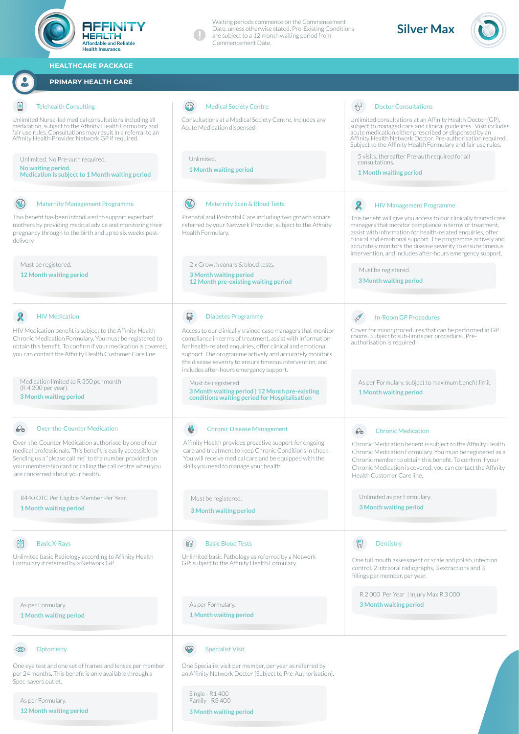

Single - R1 400 Family - R3 400 **3 Month waiting period**

As per Formulary. **12 Month waiting period**